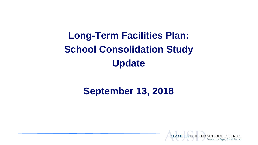**Long-Term Facilities Plan: School Consolidation Study Update**

# **September 13, 2018**

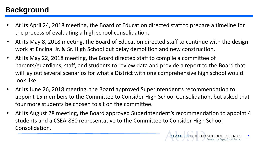# **Background**

- At its April 24, 2018 meeting, the Board of Education directed staff to prepare a timeline for the process of evaluating a high school consolidation.
- At its May 8, 2018 meeting, the Board of Education directed staff to continue with the design work at Encinal Jr. & Sr. High School but delay demolition and new construction.
- At its May 22, 2018 meeting, the Board directed staff to compile a committee of parents/guardians, staff, and students to review data and provide a report to the Board that will lay out several scenarios for what a District with one comprehensive high school would look like.
- At its June 26, 2018 meeting, the Board approved Superintendent's recommendation to appoint 15 members to the Committee to Consider High School Consolidation, but asked that four more students be chosen to sit on the committee.
- At its August 28 meeting, the Board approved Superintendent's recommendation to appoint 4 students and a CSEA-860 representative to the Committee to Consider High School Consolidation.

 $\overline{2}$ 

UNIFIED SCHO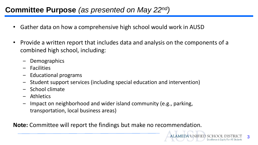## **Committee Purpose** *(as presented on May 22nd)*

- Gather data on how a comprehensive high school would work in AUSD
- Provide a written report that includes data and analysis on the components of a combined high school, including:
	- ‒ Demographics
	- ‒ Facilities
	- ‒ Educational programs
	- ‒ Student support services (including special education and intervention)
	- ‒ School climate
	- **Athletics**
	- Impact on neighborhood and wider island community (e.g., parking, transportation, local business areas)

**Note:** Committee will report the findings but make no recommendation.

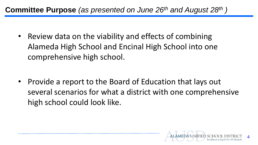## **Committee Purpose** *(as presented on June 26th and August 28th )*

• Review data on the viability and effects of combining Alameda High School and Encinal High School into one comprehensive high school.

• Provide a report to the Board of Education that lays out several scenarios for what a district with one comprehensive high school could look like.

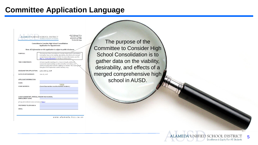## **Committee Application Language**



www.alameda.k12.ca.us

The purpose of the Committee to Consider High School Consolidation is to gather data on the viability, desirability, and effects of a merged comprehensive high school in AUSD.

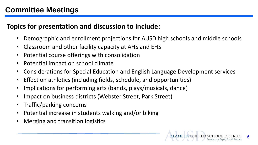# **Committee Meetings**

### **Topics for presentation and discussion to include:**

- Demographic and enrollment projections for AUSD high schools and middle schools
- Classroom and other facility capacity at AHS and EHS
- Potential course offerings with consolidation
- Potential impact on school climate
- Considerations for Special Education and English Language Development services
- Effect on athletics (including fields, schedule, and opportunities)
- Implications for performing arts (bands, plays/musicals, dance)
- Impact on business districts (Webster Street, Park Street)
- Traffic/parking concerns
- Potential increase in students walking and/or biking
- Merging and transition logistics

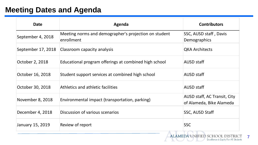## **Meeting Dates and Agenda**

| <b>Date</b>        | Agenda                                                              | <b>Contributors</b>                                      |
|--------------------|---------------------------------------------------------------------|----------------------------------------------------------|
| September 4, 2018  | Meeting norms and demographer's projection on student<br>enrollment | SSC, AUSD staff, Davis<br><b>Demographics</b>            |
| September 17, 2018 | Classroom capacity analysis                                         | <b>QKA Architects</b>                                    |
| October 2, 2018    | Educational program offerings at combined high school               | AUSD staff                                               |
| October 16, 2018   | Student support services at combined high school                    | AUSD staff                                               |
| October 30, 2018   | Athletics and athletic facilities                                   | <b>AUSD staff</b>                                        |
| November 8, 2018   | Environmental impact (transportation, parking)                      | AUSD staff, AC Transit, City<br>of Alameda, Bike Alameda |
| December 4, 2018   | Discussion of various scenarios                                     | SSC, AUSD Staff                                          |
| January 15, 2019   | Review of report                                                    | <b>SSC</b>                                               |
|                    |                                                                     | ALAMEDA UNIFIED SCHOOL DISTRICT                          |

7

Excellence & Equity For All Students